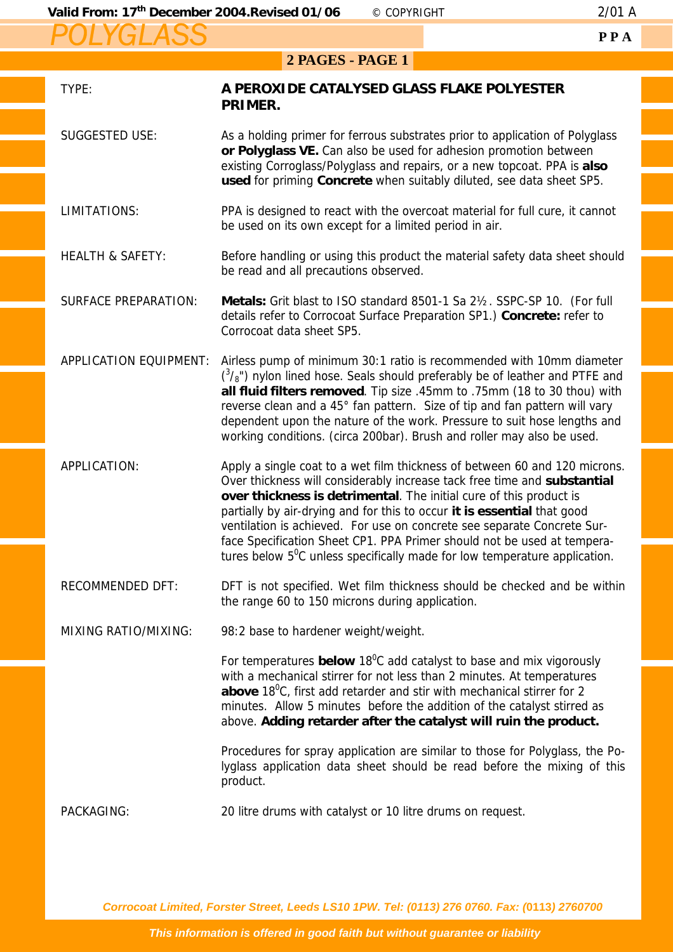*POLYGLASS*

## **2 PAGES - PAGE 1**

| TYPE:                         | A PEROXIDE CATALYSED GLASS FLAKE POLYESTER<br>PRIMER.                                                                                                                                                                                                                                                                                                                                                                                                                                                                                                |  |
|-------------------------------|------------------------------------------------------------------------------------------------------------------------------------------------------------------------------------------------------------------------------------------------------------------------------------------------------------------------------------------------------------------------------------------------------------------------------------------------------------------------------------------------------------------------------------------------------|--|
| <b>SUGGESTED USE:</b>         | As a holding primer for ferrous substrates prior to application of Polyglass<br>or Polyglass VE. Can also be used for adhesion promotion between<br>existing Corroglass/Polyglass and repairs, or a new topcoat. PPA is also<br>used for priming Concrete when suitably diluted, see data sheet SP5.                                                                                                                                                                                                                                                 |  |
| LIMITATIONS:                  | PPA is designed to react with the overcoat material for full cure, it cannot<br>be used on its own except for a limited period in air.                                                                                                                                                                                                                                                                                                                                                                                                               |  |
| <b>HEALTH &amp; SAFETY:</b>   | Before handling or using this product the material safety data sheet should<br>be read and all precautions observed.                                                                                                                                                                                                                                                                                                                                                                                                                                 |  |
| <b>SURFACE PREPARATION:</b>   | Metals: Grit blast to ISO standard 8501-1 Sa 21/2. SSPC-SP 10. (For full<br>details refer to Corrocoat Surface Preparation SP1.) Concrete: refer to<br>Corrocoat data sheet SP5.                                                                                                                                                                                                                                                                                                                                                                     |  |
| <b>APPLICATION EQUIPMENT:</b> | Airless pump of minimum 30:1 ratio is recommended with 10mm diameter<br>$({}^{3}/_{8}$ ") nylon lined hose. Seals should preferably be of leather and PTFE and<br>all fluid filters removed. Tip size .45mm to .75mm (18 to 30 thou) with<br>reverse clean and a 45° fan pattern. Size of tip and fan pattern will vary<br>dependent upon the nature of the work. Pressure to suit hose lengths and<br>working conditions. (circa 200bar). Brush and roller may also be used.                                                                        |  |
| APPLICATION:                  | Apply a single coat to a wet film thickness of between 60 and 120 microns.<br>Over thickness will considerably increase tack free time and substantial<br>over thickness is detrimental. The initial cure of this product is<br>partially by air-drying and for this to occur it is essential that good<br>ventilation is achieved. For use on concrete see separate Concrete Sur-<br>face Specification Sheet CP1. PPA Primer should not be used at tempera-<br>tures below $5^{\circ}$ C unless specifically made for low temperature application. |  |
| <b>RECOMMENDED DFT:</b>       | DFT is not specified. Wet film thickness should be checked and be within<br>the range 60 to 150 microns during application.                                                                                                                                                                                                                                                                                                                                                                                                                          |  |
| <b>MIXING RATIO/MIXING:</b>   | 98:2 base to hardener weight/weight.                                                                                                                                                                                                                                                                                                                                                                                                                                                                                                                 |  |
|                               | For temperatures <b>below</b> 18 $^0$ C add catalyst to base and mix vigorously<br>with a mechanical stirrer for not less than 2 minutes. At temperatures<br>above 18 <sup>0</sup> C, first add retarder and stir with mechanical stirrer for 2<br>minutes. Allow 5 minutes before the addition of the catalyst stirred as<br>above. Adding retarder after the catalyst will ruin the product.                                                                                                                                                       |  |
|                               | Procedures for spray application are similar to those for Polyglass, the Po-<br>lyglass application data sheet should be read before the mixing of this<br>product.                                                                                                                                                                                                                                                                                                                                                                                  |  |
| PACKAGING:                    | 20 litre drums with catalyst or 10 litre drums on request.                                                                                                                                                                                                                                                                                                                                                                                                                                                                                           |  |

*Corrocoat Limited, Forster Street, Leeds LS10 1PW. Tel: (0113) 276 0760. Fax: (***0113***) 2760700*